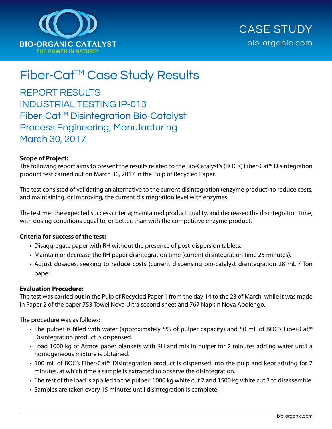



# Fiber-Cat™ Case Study Results

REPORT RESULTS INDUSTRIAL TESTING IP-013 Fiber-Cat™ Disintegration Bio-Catalyst Process Engineering, Manufacturing March 30, 2017

### **Scope of Project:**

The following report aims to present the results related to the Bio-Catalyst's (BOC's) Fiber-Cat™ Disintegration product test carried out on March 30, 2017 in the Pulp of Recycled Paper.

The test consisted of validating an alternative to the current disintegration (enzyme product) to reduce costs, and maintaining, or improving, the current disintegration level with enzymes.

The test met the expected success criteria; maintained product quality, and decreased the disintegration time, with dosing conditions equal to, or better, than with the competitive enzyme product.

#### **Criteria for success of the test:**

- Disaggregate paper with RH without the presence of post-dispersion tablets.
- Maintain or decrease the RH paper disintegration time (current disintegration time 25 minutes).
- Adjust dosages, seeking to reduce costs (current dispensing bio-catalyst disintegration 28 mL / Ton paper.

#### **Evaluation Procedure:**

The test was carried out in the Pulp of Recycled Paper 1 from the day 14 to the 23 of March, while it was made in Paper 2 of the paper 753 Towel Nova Ultra second sheet and 767 Napkin Nova Abolengo.

The procedure was as follows:

- The pulper is filled with water (approximately 5% of pulper capacity) and 50 mL of BOC's Fiber-Cat<sup>™</sup> Disintegration product is dispensed.
- Load 1000 kg of Atmos paper blankets with RH and mix in pulper for 2 minutes adding water until a homogeneous mixture is obtained.
- 100 mL of BOC's Fiber-Cat<sup>™</sup> Disintegration product is dispensed into the pulp and kept stirring for 7 minutes, at which time a sample is extracted to observe the disintegration.
- The rest of the load is applied to the pulper: 1000 kg white cut 2 and 1500 kg white cut 3 to disassemble.
- Samples are taken every 15 minutes until disintegration is complete.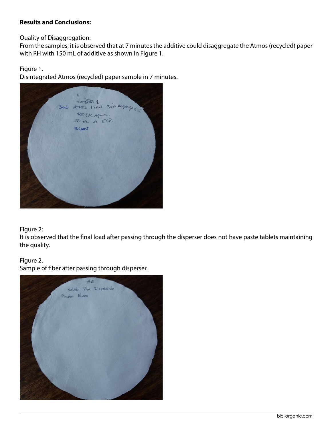## **Results and Conclusions:**

Quality of Disaggregation:

From the samples, it is observed that at 7 minutes the additive could disaggregate the Atmos (recycled) paper with RH with 150 mL of additive as shown in Figure 1.

Figure 1.

Disintegrated Atmos (recycled) paper sample in 7 minutes.



# Figure 2:

It is observed that the final load after passing through the disperser does not have paste tablets maintaining the quality.

# Figure 2.

Sample of fiber after passing through disperser.